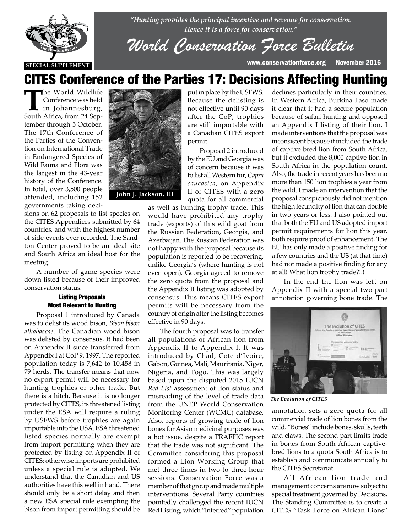

*"Hunting provides the principal incentive and revenue for conservation. Hence it is a force for conservation."*

*World Conservation Force Bulletin*

# CITES Conference of the Parties 17: Decisions Affecting Hunting

**The World Wildlife**<br>
in Johannesburg,<br>
South Africa from 24 Sep. Conference was held South Africa, from 24 September through 5 October. The 17th Conference of the Parties of the Convention on International Trade in Endangered Species of Wild Fauna and Flora was the largest in the 43-year history of the Conference. In total, over 3,500 people attended, including 152 governments taking deci-

sions on 62 proposals to list species on the CITES Appendices submitted by 64 countries, and with the highest number of side-events ever recorded. The Sandton Center proved to be an ideal site and South Africa an ideal host for the meeting.

A number of game species were down listed because of their improved conservation status.

### Listing Proposals Most Relevant to Hunting

Proposal 1 introduced by Canada was to delist its wood bison, *Bison bison athabascae*. The Canadian wood bison was delisted by consensus. It had been on Appendix II since transferred from Appendix I at CoP 9, 1997. The reported population today is 7,642 to 10,458 in 79 herds. The transfer means that now no export permit will be necessary for hunting trophies or other trade. But there is a hitch. Because it is no longer protected by CITES, its threatened listing under the ESA will require a ruling by USFWS before trophies are again importable into the USA. ESA threatened listed species normally are exempt from import permitting when they are protected by listing on Appendix II of CITES; otherwise imports are prohibited unless a special rule is adopted. We understand that the Canadian and US authorities have this well in hand. There should only be a short delay and then a new ESA special rule exempting the bison from import permitting should be



put in place by the USFWS. Because the delisting is not effective until 90 days after the CoP, trophies are still importable with a Canadian CITES export permit.

Proposal 2 introduced by the EU and Georgia was of concern because it was to list all Western tur, *Capra caucasica*, on Appendix II of CITES with a zero quota for all commercial

as well as hunting trophy trade. This would have prohibited any trophy trade (exports) of this wild goat from the Russian Federation, Georgia, and Azerbaijan. The Russian Federation was not happy with the proposal because its population is reported to be recovering, unlike Georgia's (where hunting is not even open). Georgia agreed to remove the zero quota from the proposal and the Appendix II listing was adopted by consensus. This means CITES export permits will be necessary from the country of origin after the listing becomes effective in 90 days.

The fourth proposal was to transfer all populations of African lion from Appendix II to Appendix I. It was introduced by Chad, Cote d'Ivoire, Gabon, Guinea, Mali, Mauritania, Niger, Nigeria, and Togo. This was largely based upon the disputed 2015 IUCN *Red List* assessment of lion status and misreading of the level of trade data from the UNEP World Conservation Monitoring Center (WCMC) database. Also, reports of growing trade of lion bones for Asian medicinal purposes was a hot issue, despite a TRAFFIC report that the trade was not significant. The Committee considering this proposal formed a Lion Working Group that met three times in two-to three-hour sessions. Conservation Force was a member of that group and made multiple interventions. Several Party countries pointedly challenged the recent IUCN Red Listing, which "inferred" population

declines particularly in their countries. In Western Africa, Burkina Faso made it clear that it had a secure population because of safari hunting and opposed an Appendix I listing of their lion. I made interventions that the proposal was inconsistent because it included the trade of captive bred lion from South Africa, but it excluded the 8,000 captive lion in South Africa in the population count. Also, the trade in recent years has been no more than 150 lion trophies a year from the wild. I made an intervention that the proposal conspicuously did not mention the high fecundity of lion that can double in two years or less. I also pointed out that both the EU and US adopted import permit requirements for lion this year. Both require proof of enhancement. The EU has only made a positive finding for a few countries and the US (at that time) had not made a positive finding for any at all! What lion trophy trade?!!!

In the end the lion was left on Appendix II with a special two-part annotation governing bone trade. The



*The Evolution of CITES*

annotation sets a zero quota for all commercial trade of lion bones from the wild. "Bones" include bones, skulls, teeth and claws. The second part limits trade in bones from South African captivebred lions to a quota South Africa is to establish and communicate annually to the CITES Secretariat.

All African lion trade and management concerns are now subject to special treatment governed by Decisions. The Standing Committee is to create a CITES "Task Force on African Lions"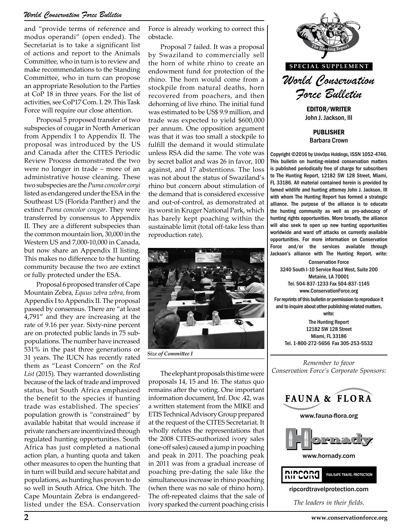# *World Conservation Force Bulletin*

and "provide terms of reference and modus operandi" (open ended). The Secretariat is to take a significant list of actions and report to the Animals Committee, who in turn is to review and make recommendations to the Standing Committee, who in turn can propose an appropriate Resolution to the Parties at CoP 18 in three years. For the list of activities, see CoP17 Com. I. 29. This Task Force will require our close attention.

Proposal 5 proposed transfer of two subspecies of cougar in North American from Appendix I to Appendix II. The proposal was introduced by the US and Canada after the CITES Periodic Review Process demonstrated the two were no longer in trade – more of an administrative house cleaning. These two subspecies are the *Puma concolor coryi* listed as endangered under the ESA in the Southeast US (Florida Panther) and the extinct *Puma concolor cougar*. They were transferred by consensus to Appendix II. They are a different subspecies than the common mountain lion, 30,000 in the Western US and 7,000-10,000 in Canada, but now share an Appendix II listing. This makes no difference to the hunting community because the two are extinct or fully protected under the ESA.

Proposal 6 proposed transfer of Cape Mountain Zebra, *Equus zebra zebra*, from Appendix I to Appendix II. The proposal passed by consensus. There are "at least 4,791" and they are increasing at the rate of 9.16 per year. Sixty-nine percent are on protected public lands in 75 subpopulations. The number have increased 531% in the past three generations or 31 years. The IUCN has recently rated them as "Least Concern" on the *Red List* (2015). They warranted downlisting because of the lack of trade and improved status, but South Africa emphasized the benefit to the species if hunting trade was established. The species' population growth is "constrained" by available habitat that would increase if private ranchers are incentivized through regulated hunting opportunities. South Africa has just completed a national action plan, a hunting quota and taken other measures to open the hunting that in turn will build and secure habitat and populations, as hunting has proven to do so well in South Africa. One hitch. The Cape Mountain Zebra is endangeredlisted under the ESA. Conservation

Force is already working to correct this obstacle.

Proposal 7 failed. It was a proposal by Swaziland to commercially sell the horn of white rhino to create an endowment fund for protection of the rhino. The horn would come from a stockpile from natural deaths, horn recovered from poachers, and then dehorning of live rhino. The initial fund was estimated to be US\$ 9.9 million, and trade was expected to yield \$600,000 per annum. One opposition argument was that it was too small a stockpile to fulfill the demand it would stimulate unless RSA did the same. The vote was by secret ballot and was 26 in favor, 100 against, and 17 abstentions. The loss was not about the status of Swaziland's rhino but concern about stimulation of the demand that is considered excessive and out-of-control, as demonstrated at its worst in Kruger National Park, which has barely kept poaching within the sustainable limit (total off-take less than reproduction rate).



*Size of Committee I*

The elephant proposals this time were proposals 14, 15 and 16. The status quo remains after the voting. One important information document, Inf. Doc .42, was a written statement from the MIKE and ETIS Technical Advisory Group prepared at the request of the CITES Secretariat. It wholly refutes the representations that the 2008 CITES-authorized ivory sales (one-off sales) caused a jump in poaching and peak in 2011. The poaching peak in 2011 was from a gradual increase of poaching pre-dating the sale like the simultaneous increase in rhino poaching (when there was no sale of rhino horn). The oft-repeated claims that the sale of ivory sparked the current poaching crisis



PUBLISHER

Barbara Crown

Copyright ©2016 by UnivOps Holdings, ISSN 1052-4746. This bulletin on hunting-related conservation matters is published periodically free of charge for subscribers to The Hunting Report, 12182 SW 128 Street, Miami, FL 33186. All material contained herein is provided by famed wildlife and hunting attorney John J. Jackson, III with whom The Hunting Report has formed a strategic alliance. The purpose of the alliance is to educate the hunting community as well as pro-advocacy of hunting rights opportunities. More broadly, the alliance will also seek to open up new hunting opportunities worldwide and ward off attacks on currently available opportunities. For more information on Conservation Force and/or the services available through Jackson's alliance with The Hunting Report, write:

Conservation Force 3240 South I-10 Service Road West, Suite 200 Metairie, LA 70001 Tel. 504-837-1233 Fax 504-837-1145 www.ConservationForce.org For reprints of this bulletin or permission to reproduce it

and to inquire about other publishing-related matters, write:

The Hunting Report 12182 SW 128 Street Miami, FL 33186 Tel. 1-800-272-5656 Fax 305-253-5532

*Remember to favor Conservation Force's Corporate Sponsors:*

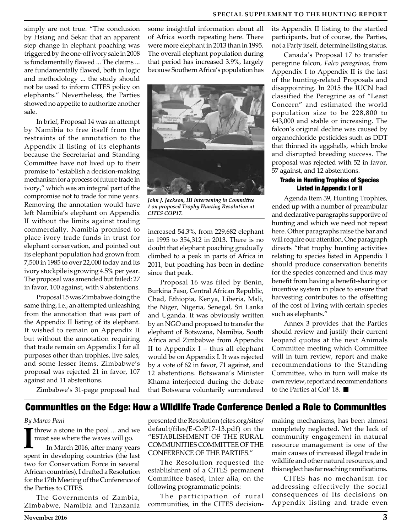simply are not true. "The conclusion by Hsiang and Sekar that an apparent step change in elephant poaching was triggered by the one-off ivory sale in 2008 is fundamentally flawed ... The claims ... are fundamentally flawed, both in logic and methodology ... the study should not be used to inform CITES policy on elephants." Nevertheless, the Parties showed no appetite to authorize another sale.

In brief, Proposal 14 was an attempt by Namibia to free itself from the restraints of the annotation to the Appendix II listing of its elephants because the Secretariat and Standing Committee have not lived up to their promise to "establish a decision-making mechanism for a process of future trade in ivory," which was an integral part of the compromise not to trade for nine years. Removing the annotation would have left Namibia's elephant on Appendix II without the limits against trading commercially. Namibia promised to place ivory trade funds in trust for elephant conservation, and pointed out its elephant population had grown from 7,500 in 1985 to over 22,000 today and its ivory stockpile is growing 4.5% per year. The proposal was amended but failed: 27 in favor, 100 against, with 9 abstentions.

Proposal 15 was Zimbabwe doing the same thing, i.e., an attempted unleashing from the annotation that was part of the Appendix II listing of its elephant. It wished to remain on Appendix II but without the annotation requiring that trade remain on Appendix I for all purposes other than trophies, live sales, and some lesser items. Zimbabwe's proposal was rejected 21 in favor, 107 against and 11 abstentions.

Zimbabwe's 31-page proposal had

some insightful information about all of Africa worth repeating here. There were more elephant in 2013 than in 1995. The overall elephant population during that period has increased 3.9%, largely because Southern Africa's population has



*John J. Jackson, III intervening in Committee 1 on proposed Trophy Hunting Resolution at CITES COP17.*

increased 54.3%, from 229,682 elephant in 1995 to 354,312 in 2013. There is no doubt that elephant poaching gradually climbed to a peak in parts of Africa in 2011, but poaching has been in decline since that peak.

Proposal 16 was filed by Benin, Burkina Faso, Central African Republic, Chad, Ethiopia, Kenya, Liberia, Mali, the Niger, Nigeria, Senegal, Sri Lanka and Uganda. It was obviously written by an NGO and proposed to transfer the elephant of Botswana, Namibia, South Africa and Zimbabwe from Appendix II to Appendix  $I$  – thus all elephant would be on Appendix I. It was rejected by a vote of 62 in favor, 71 against, and 12 abstentions. Botswana's Minister Khama interjected during the debate that Botswana voluntarily surrendered

its Appendix II listing to the startled participants, but of course, the Parties, not a Party itself, determine listing status.

Canada's Proposal 17 to transfer peregrine falcon, *Falco peregrinos*, from Appendix I to Appendix II is the last of the hunting-related Proposals and disappointing. In 2015 the IUCN had classified the Peregrine as of "Least Concern" and estimated the world population size to be 228,800 to 443,000 and stable or increasing. The falcon's original decline was caused by organochloride pesticides such as DDT that thinned its eggshells, which broke and disrupted breeding success. The proposal was rejected with 52 in favor, 57 against, and 12 abstentions.

# Trade in Hunting Trophies of Species Listed in Appendix I or II

Agenda Item 39, Hunting Trophies, ended up with a number of preambular and declarative paragraphs supportive of hunting and which we need not repeat here. Other paragraphs raise the bar and will require our attention. One paragraph directs "that trophy hunting activities relating to species listed in Appendix I should produce conservation benefits for the species concerned and thus may benefit from having a benefit-sharing or incentive system in place to ensure that harvesting contributes to the offsetting of the cost of living with certain species such as elephants."

Annex 3 provides that the Parties should review and justify their current leopard quotas at the next Animals Committee meeting which Committee will in turn review, report and make recommendations to the Standing Committee, who in turn will make its own review, report and recommendations to the Parties at CoP 18.

# Communities on the Edge: How a Wildlife Trade Conference Denied a Role to Communities

#### *By Marco Pani*

**I** threw a stone in the pool ... and we must see where the waves will go.

In March 2016, after many years spent in developing countries (the last two for Conservation Force in several African countries), I drafted a Resolution for the 17th Meeting of the Conference of the Parties to CITES.

The Governments of Zambia, Zimbabwe, Namibia and Tanzania presented the Resolution (cites.org/sites/ default/files/E-CoP17-13.pdf) on the "ESTABLISHMENT OF THE RURAL COMMUNITIES COMMITTEE OF THE CONFERENCE OF THE PARTIES."

The Resolution requested the establishment of a CITES permanent Committee based, inter alia, on the following programmatic points:

The participation of rural communities, in the CITES decisionmaking mechanisms, has been almost completely neglected. Yet the lack of community engagement in natural resource management is one of the main causes of increased illegal trade in wildlife and other natural resources, and this neglect has far reaching ramifications.

CITES has no mechanism for addressing effectively the social consequences of its decisions on Appendix listing and trade even